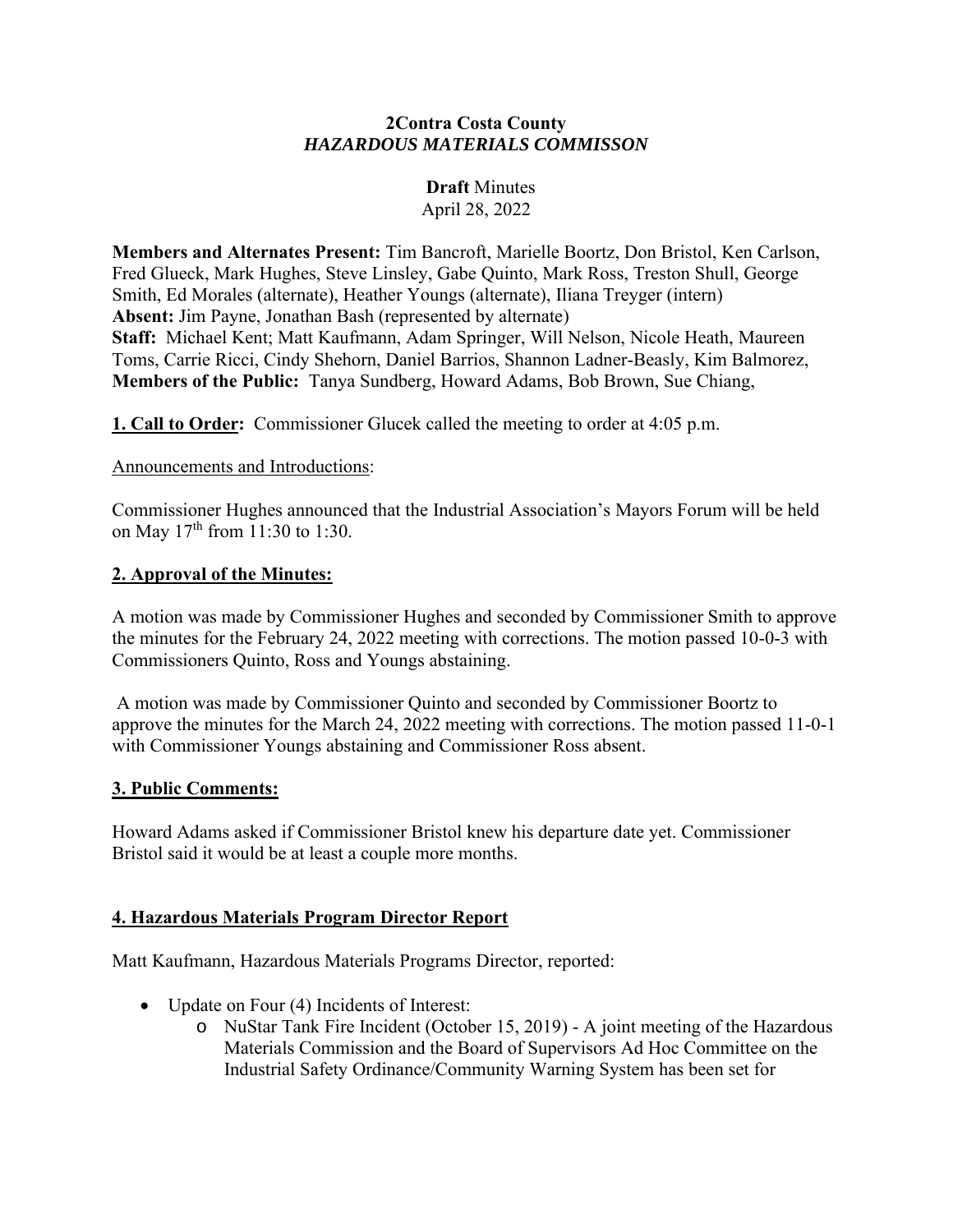### **2Contra Costa County** *HAZARDOUS MATERIALS COMMISSON*

# **Draft** Minutes April 28, 2022

**Members and Alternates Present:** Tim Bancroft, Marielle Boortz, Don Bristol, Ken Carlson, Fred Glueck, Mark Hughes, Steve Linsley, Gabe Quinto, Mark Ross, Treston Shull, George Smith, Ed Morales (alternate), Heather Youngs (alternate), Iliana Treyger (intern) **Absent:** Jim Payne, Jonathan Bash (represented by alternate) **Staff:** Michael Kent; Matt Kaufmann, Adam Springer, Will Nelson, Nicole Heath, Maureen Toms, Carrie Ricci, Cindy Shehorn, Daniel Barrios, Shannon Ladner-Beasly, Kim Balmorez, **Members of the Public:** Tanya Sundberg, Howard Adams, Bob Brown, Sue Chiang,

**1. Call to Order:** Commissioner Glucek called the meeting to order at 4:05 p.m.

#### Announcements and Introductions:

Commissioner Hughes announced that the Industrial Association's Mayors Forum will be held on May  $17^{th}$  from 11:30 to 1:30.

### **2. Approval of the Minutes:**

A motion was made by Commissioner Hughes and seconded by Commissioner Smith to approve the minutes for the February 24, 2022 meeting with corrections. The motion passed 10-0-3 with Commissioners Quinto, Ross and Youngs abstaining.

A motion was made by Commissioner Quinto and seconded by Commissioner Boortz to approve the minutes for the March 24, 2022 meeting with corrections. The motion passed 11-0-1 with Commissioner Youngs abstaining and Commissioner Ross absent.

#### **3. Public Comments:**

Howard Adams asked if Commissioner Bristol knew his departure date yet. Commissioner Bristol said it would be at least a couple more months.

## **4. Hazardous Materials Program Director Report**

Matt Kaufmann, Hazardous Materials Programs Director, reported:

- Update on Four (4) Incidents of Interest:
	- o NuStar Tank Fire Incident (October 15, 2019) A joint meeting of the Hazardous Materials Commission and the Board of Supervisors Ad Hoc Committee on the Industrial Safety Ordinance/Community Warning System has been set for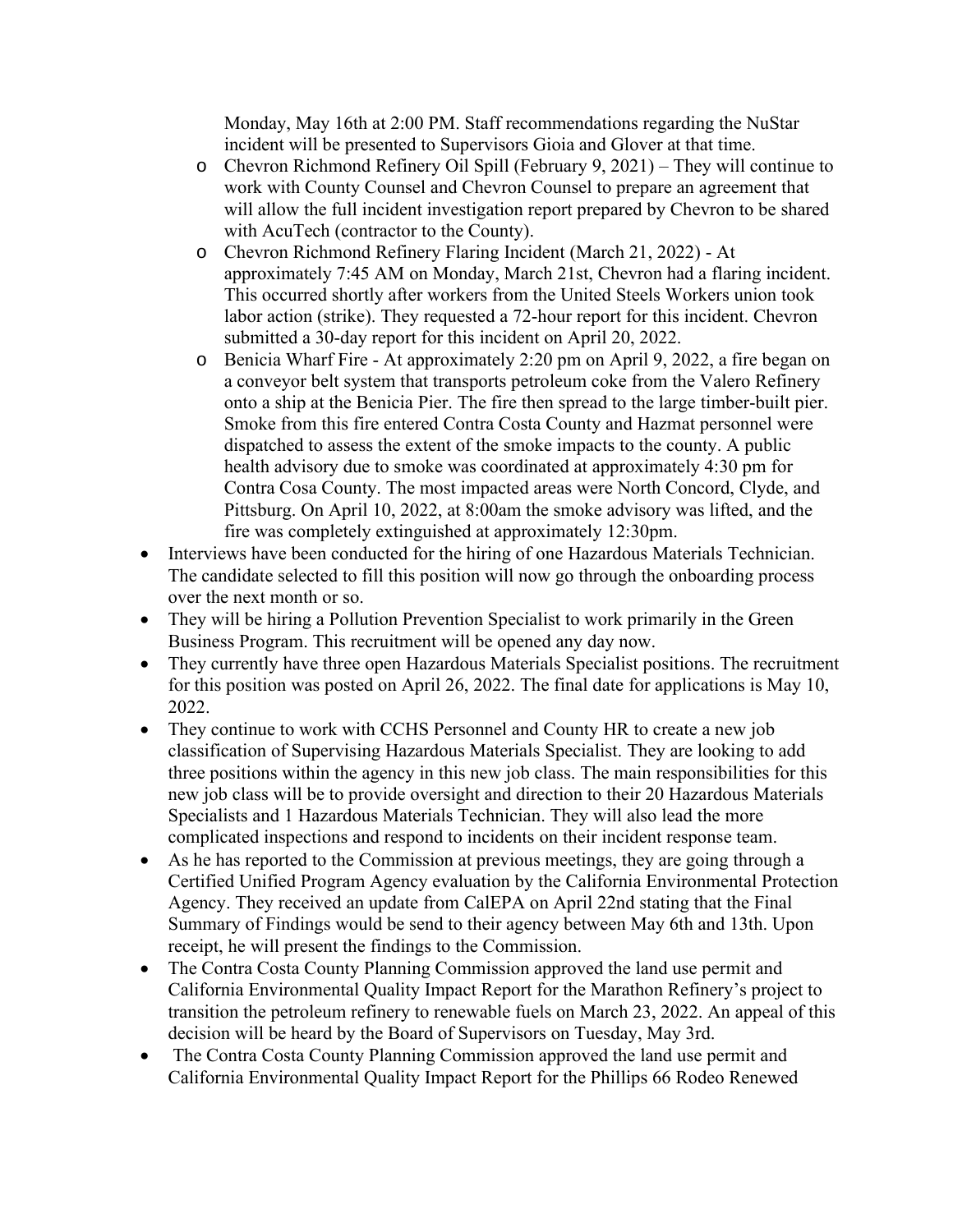Monday, May 16th at 2:00 PM. Staff recommendations regarding the NuStar incident will be presented to Supervisors Gioia and Glover at that time.

- o Chevron Richmond Refinery Oil Spill (February 9, 2021) They will continue to work with County Counsel and Chevron Counsel to prepare an agreement that will allow the full incident investigation report prepared by Chevron to be shared with AcuTech (contractor to the County).
- o Chevron Richmond Refinery Flaring Incident (March 21, 2022) At approximately 7:45 AM on Monday, March 21st, Chevron had a flaring incident. This occurred shortly after workers from the United Steels Workers union took labor action (strike). They requested a 72-hour report for this incident. Chevron submitted a 30-day report for this incident on April 20, 2022.
- o Benicia Wharf Fire At approximately 2:20 pm on April 9, 2022, a fire began on a conveyor belt system that transports petroleum coke from the Valero Refinery onto a ship at the Benicia Pier. The fire then spread to the large timber-built pier. Smoke from this fire entered Contra Costa County and Hazmat personnel were dispatched to assess the extent of the smoke impacts to the county. A public health advisory due to smoke was coordinated at approximately 4:30 pm for Contra Cosa County. The most impacted areas were North Concord, Clyde, and Pittsburg. On April 10, 2022, at 8:00am the smoke advisory was lifted, and the fire was completely extinguished at approximately 12:30pm.
- Interviews have been conducted for the hiring of one Hazardous Materials Technician. The candidate selected to fill this position will now go through the onboarding process over the next month or so.
- They will be hiring a Pollution Prevention Specialist to work primarily in the Green Business Program. This recruitment will be opened any day now.
- They currently have three open Hazardous Materials Specialist positions. The recruitment for this position was posted on April 26, 2022. The final date for applications is May 10, 2022.
- They continue to work with CCHS Personnel and County HR to create a new job classification of Supervising Hazardous Materials Specialist. They are looking to add three positions within the agency in this new job class. The main responsibilities for this new job class will be to provide oversight and direction to their 20 Hazardous Materials Specialists and 1 Hazardous Materials Technician. They will also lead the more complicated inspections and respond to incidents on their incident response team.
- As he has reported to the Commission at previous meetings, they are going through a Certified Unified Program Agency evaluation by the California Environmental Protection Agency. They received an update from CalEPA on April 22nd stating that the Final Summary of Findings would be send to their agency between May 6th and 13th. Upon receipt, he will present the findings to the Commission.
- The Contra Costa County Planning Commission approved the land use permit and California Environmental Quality Impact Report for the Marathon Refinery's project to transition the petroleum refinery to renewable fuels on March 23, 2022. An appeal of this decision will be heard by the Board of Supervisors on Tuesday, May 3rd.
- The Contra Costa County Planning Commission approved the land use permit and California Environmental Quality Impact Report for the Phillips 66 Rodeo Renewed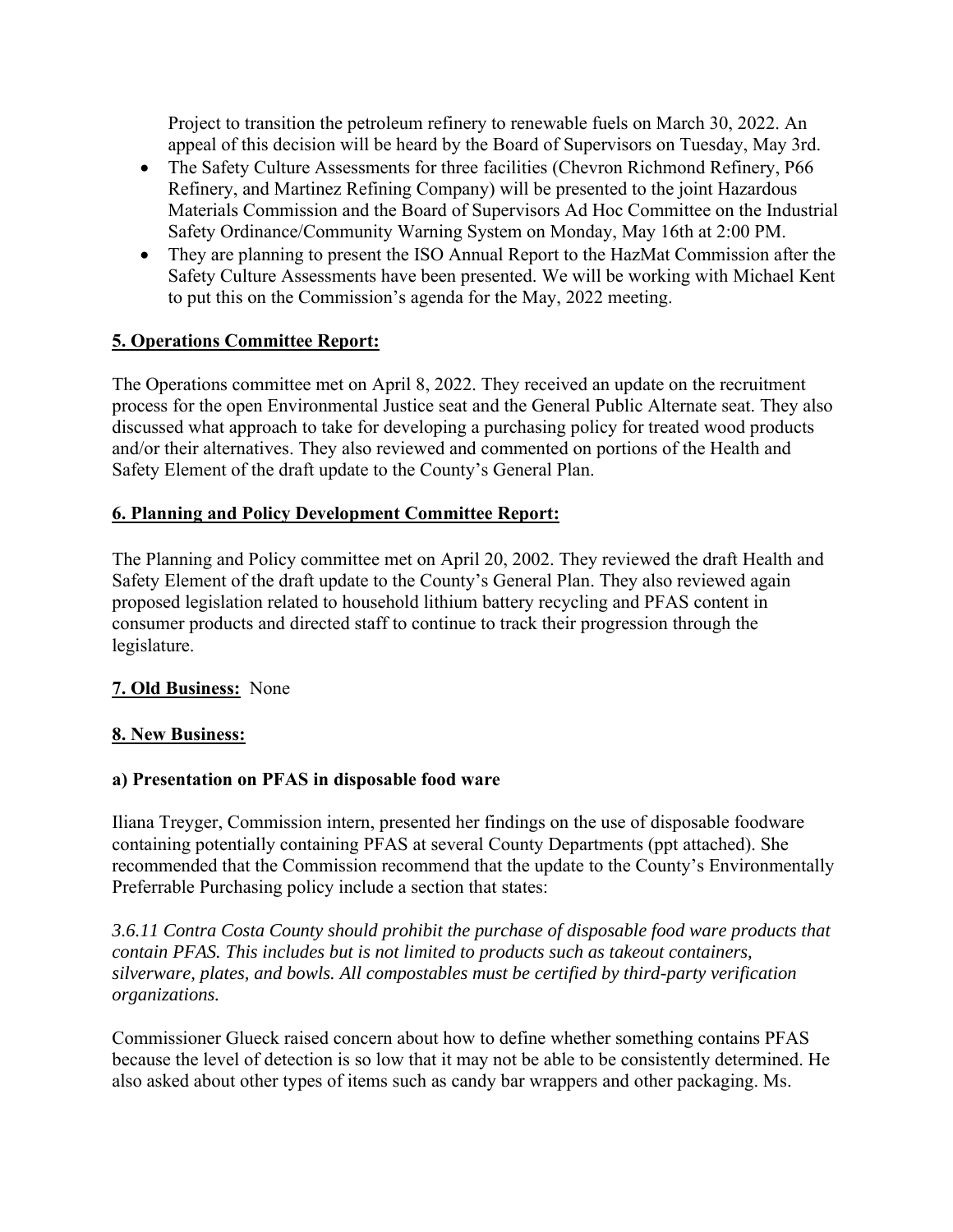Project to transition the petroleum refinery to renewable fuels on March 30, 2022. An appeal of this decision will be heard by the Board of Supervisors on Tuesday, May 3rd.

- The Safety Culture Assessments for three facilities (Chevron Richmond Refinery, P66 Refinery, and Martinez Refining Company) will be presented to the joint Hazardous Materials Commission and the Board of Supervisors Ad Hoc Committee on the Industrial Safety Ordinance/Community Warning System on Monday, May 16th at 2:00 PM.
- They are planning to present the ISO Annual Report to the HazMat Commission after the Safety Culture Assessments have been presented. We will be working with Michael Kent to put this on the Commission's agenda for the May, 2022 meeting.

## **5. Operations Committee Report:**

The Operations committee met on April 8, 2022. They received an update on the recruitment process for the open Environmental Justice seat and the General Public Alternate seat. They also discussed what approach to take for developing a purchasing policy for treated wood products and/or their alternatives. They also reviewed and commented on portions of the Health and Safety Element of the draft update to the County's General Plan.

## **6. Planning and Policy Development Committee Report:**

The Planning and Policy committee met on April 20, 2002. They reviewed the draft Health and Safety Element of the draft update to the County's General Plan. They also reviewed again proposed legislation related to household lithium battery recycling and PFAS content in consumer products and directed staff to continue to track their progression through the legislature.

## **7. Old Business:** None

## **8. New Business:**

## **a) Presentation on PFAS in disposable food ware**

Iliana Treyger, Commission intern, presented her findings on the use of disposable foodware containing potentially containing PFAS at several County Departments (ppt attached). She recommended that the Commission recommend that the update to the County's Environmentally Preferrable Purchasing policy include a section that states:

*3.6.11 Contra Costa County should prohibit the purchase of disposable food ware products that contain PFAS. This includes but is not limited to products such as takeout containers, silverware, plates, and bowls. All compostables must be certified by third-party verification organizations.*

Commissioner Glueck raised concern about how to define whether something contains PFAS because the level of detection is so low that it may not be able to be consistently determined. He also asked about other types of items such as candy bar wrappers and other packaging. Ms.